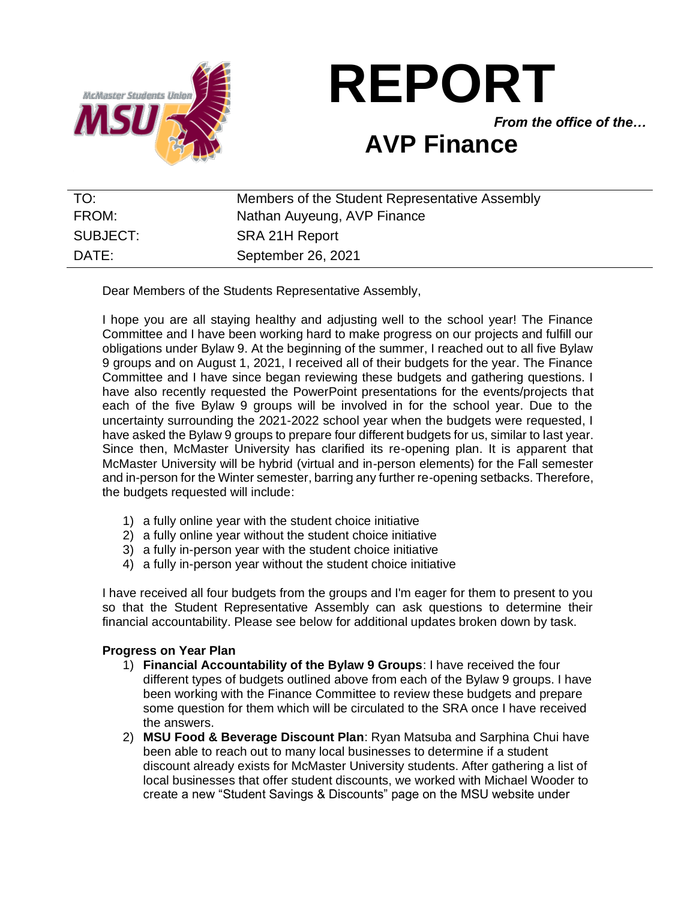

**REPORT**

*From the office of the…*

# **AVP Finance**

| TO:      | Members of the Student Representative Assembly |
|----------|------------------------------------------------|
| FROM:    | Nathan Auyeung, AVP Finance                    |
| SUBJECT: | SRA 21H Report                                 |
| DATE:    | September 26, 2021                             |

Dear Members of the Students Representative Assembly,

I hope you are all staying healthy and adjusting well to the school year! The Finance Committee and I have been working hard to make progress on our projects and fulfill our obligations under Bylaw 9. At the beginning of the summer, I reached out to all five Bylaw 9 groups and on August 1, 2021, I received all of their budgets for the year. The Finance Committee and I have since began reviewing these budgets and gathering questions. I have also recently requested the PowerPoint presentations for the events/projects that each of the five Bylaw 9 groups will be involved in for the school year. Due to the uncertainty surrounding the 2021-2022 school year when the budgets were requested, I have asked the Bylaw 9 groups to prepare four different budgets for us, similar to last year. Since then, McMaster University has clarified its re-opening plan. It is apparent that McMaster University will be hybrid (virtual and in-person elements) for the Fall semester and in-person for the Winter semester, barring any further re-opening setbacks. Therefore, the budgets requested will include:

- 1) a fully online year with the student choice initiative
- 2) a fully online year without the student choice initiative
- 3) a fully in-person year with the student choice initiative
- 4) a fully in-person year without the student choice initiative

I have received all four budgets from the groups and I'm eager for them to present to you so that the Student Representative Assembly can ask questions to determine their financial accountability. Please see below for additional updates broken down by task.

## **Progress on Year Plan**

- 1) **Financial Accountability of the Bylaw 9 Groups**: I have received the four different types of budgets outlined above from each of the Bylaw 9 groups. I have been working with the Finance Committee to review these budgets and prepare some question for them which will be circulated to the SRA once I have received the answers.
- 2) **MSU Food & Beverage Discount Plan**: Ryan Matsuba and Sarphina Chui have been able to reach out to many local businesses to determine if a student discount already exists for McMaster University students. After gathering a list of local businesses that offer student discounts, we worked with Michael Wooder to create a new "Student Savings & Discounts" page on the MSU website under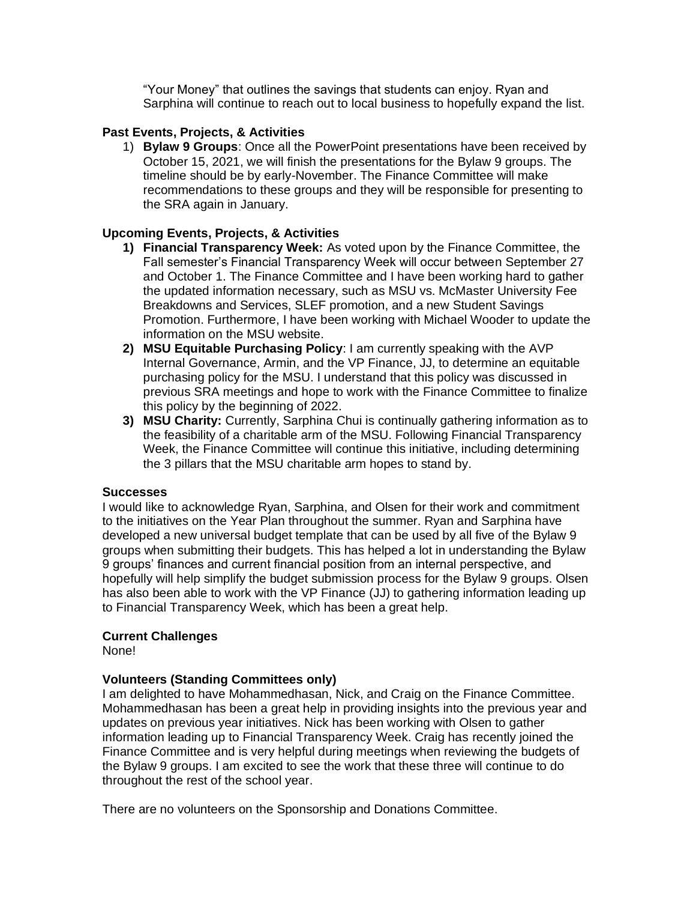"Your Money" that outlines the savings that students can enjoy. Ryan and Sarphina will continue to reach out to local business to hopefully expand the list.

## **Past Events, Projects, & Activities**

1) **Bylaw 9 Groups**: Once all the PowerPoint presentations have been received by October 15, 2021, we will finish the presentations for the Bylaw 9 groups. The timeline should be by early-November. The Finance Committee will make recommendations to these groups and they will be responsible for presenting to the SRA again in January.

## **Upcoming Events, Projects, & Activities**

- **1) Financial Transparency Week:** As voted upon by the Finance Committee, the Fall semester's Financial Transparency Week will occur between September 27 and October 1. The Finance Committee and I have been working hard to gather the updated information necessary, such as MSU vs. McMaster University Fee Breakdowns and Services, SLEF promotion, and a new Student Savings Promotion. Furthermore, I have been working with Michael Wooder to update the information on the MSU website.
- **2) MSU Equitable Purchasing Policy**: I am currently speaking with the AVP Internal Governance, Armin, and the VP Finance, JJ, to determine an equitable purchasing policy for the MSU. I understand that this policy was discussed in previous SRA meetings and hope to work with the Finance Committee to finalize this policy by the beginning of 2022.
- **3) MSU Charity:** Currently, Sarphina Chui is continually gathering information as to the feasibility of a charitable arm of the MSU. Following Financial Transparency Week, the Finance Committee will continue this initiative, including determining the 3 pillars that the MSU charitable arm hopes to stand by.

### **Successes**

I would like to acknowledge Ryan, Sarphina, and Olsen for their work and commitment to the initiatives on the Year Plan throughout the summer. Ryan and Sarphina have developed a new universal budget template that can be used by all five of the Bylaw 9 groups when submitting their budgets. This has helped a lot in understanding the Bylaw 9 groups' finances and current financial position from an internal perspective, and hopefully will help simplify the budget submission process for the Bylaw 9 groups. Olsen has also been able to work with the VP Finance (JJ) to gathering information leading up to Financial Transparency Week, which has been a great help.

### **Current Challenges**

None!

### **Volunteers (Standing Committees only)**

I am delighted to have Mohammedhasan, Nick, and Craig on the Finance Committee. Mohammedhasan has been a great help in providing insights into the previous year and updates on previous year initiatives. Nick has been working with Olsen to gather information leading up to Financial Transparency Week. Craig has recently joined the Finance Committee and is very helpful during meetings when reviewing the budgets of the Bylaw 9 groups. I am excited to see the work that these three will continue to do throughout the rest of the school year.

There are no volunteers on the Sponsorship and Donations Committee.